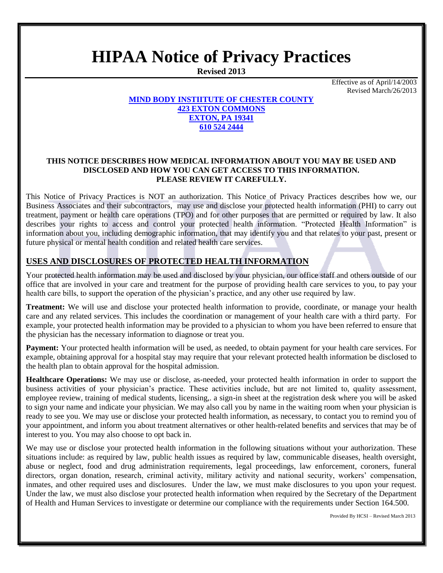# **HIPAA Notice of Privacy Practices**

**Revised 2013**

Effective as of April/14/2003 Revised March/26/2013

#### **MIND BODY INSTIITUTE OF CHESTER COUNTY 423 EXTON COMMONS EXTON, PA 19341 610 524 2444**

#### **THIS NOTICE DESCRIBES HOW MEDICAL INFORMATION ABOUT YOU MAY BE USED AND DISCLOSED AND HOW YOU CAN GET ACCESS TO THIS INFORMATION. PLEASE REVIEW IT CAREFULLY.**

This Notice of Privacy Practices is NOT an authorization. This Notice of Privacy Practices describes how we, our Business Associates and their subcontractors, may use and disclose your protected health information (PHI) to carry out treatment, payment or health care operations (TPO) and for other purposes that are permitted or required by law. It also describes your rights to access and control your protected health information. "Protected Health Information" is information about you, including demographic information, that may identify you and that relates to your past, present or future physical or mental health condition and related health care services.

## **USES AND DISCLOSURES OF PROTECTED HEALTH INFORMATION**

Your protected health information may be used and disclosed by your physician, our office staff and others outside of our office that are involved in your care and treatment for the purpose of providing health care services to you, to pay your health care bills, to support the operation of the physician's practice, and any other use required by law.

**Treatment:** We will use and disclose your protected health information to provide, coordinate, or manage your health care and any related services. This includes the coordination or management of your health care with a third party. For example, your protected health information may be provided to a physician to whom you have been referred to ensure that the physician has the necessary information to diagnose or treat you.

**Payment:** Your protected health information will be used, as needed, to obtain payment for your health care services. For example, obtaining approval for a hospital stay may require that your relevant protected health information be disclosed to the health plan to obtain approval for the hospital admission.

**Healthcare Operations:** We may use or disclose, as-needed, your protected health information in order to support the business activities of your physician's practice. These activities include, but are not limited to, quality assessment, employee review, training of medical students, licensing,. a sign-in sheet at the registration desk where you will be asked to sign your name and indicate your physician. We may also call you by name in the waiting room when your physician is ready to see you. We may use or disclose your protected health information, as necessary, to contact you to remind you of your appointment, and inform you about treatment alternatives or other health-related benefits and services that may be of interest to you. You may also choose to opt back in.

We may use or disclose your protected health information in the following situations without your authorization. These situations include: as required by law, public health issues as required by law, communicable diseases, health oversight, abuse or neglect, food and drug administration requirements, legal proceedings, law enforcement, coroners, funeral directors, organ donation, research, criminal activity, military activity and national security, workers' compensation, inmates, and other required uses and disclosures. Under the law, we must make disclosures to you upon your request. Under the law, we must also disclose your protected health information when required by the Secretary of the Department of Health and Human Services to investigate or determine our compliance with the requirements under Section 164.500.

Provided By HCSI – Revised March 2013